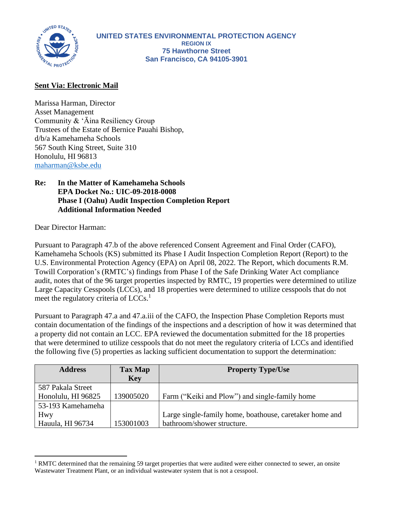

## **Sent Via: Electronic Mail**

Marissa Harman, Director Asset Management Community & 'Āina Resiliency Group Trustees of the Estate of Bernice Pauahi Bishop, d/b/a Kamehameha Schools 567 South King Street, Suite 310 Honolulu, HI 96813 [maharman@ksbe.edu](mailto:maharman@ksbe.edu)

## **Re: In the Matter of Kamehameha Schools EPA Docket No.: UIC-09-2018-0008 Phase I (Oahu) Audit Inspection Completion Report Additional Information Needed**

Dear Director Harman:

Pursuant to Paragraph 47.b of the above referenced Consent Agreement and Final Order (CAFO), Kamehameha Schools (KS) submitted its Phase I Audit Inspection Completion Report (Report) to the U.S. Environmental Protection Agency (EPA) on April 08, 2022. The Report, which documents R.M. Towill Corporation's (RMTC's) findings from Phase I of the Safe Drinking Water Act compliance audit, notes that of the 96 target properties inspected by RMTC, 19 properties were determined to utilize Large Capacity Cesspools (LCCs), and 18 properties were determined to utilize cesspools that do not meet the regulatory criteria of LCCs.<sup>1</sup>

Pursuant to Paragraph 47.a and 47.a.iii of the CAFO, the Inspection Phase Completion Reports must contain documentation of the findings of the inspections and a description of how it was determined that a property did not contain an LCC. EPA reviewed the documentation submitted for the 18 properties that were determined to utilize cesspools that do not meet the regulatory criteria of LCCs and identified the following five (5) properties as lacking sufficient documentation to support the determination:

| <b>Address</b>     | <b>Tax Map</b><br><b>Key</b> | <b>Property Type/Use</b>                                |
|--------------------|------------------------------|---------------------------------------------------------|
| 587 Pakala Street  |                              |                                                         |
| Honolulu, HI 96825 | 139005020                    | Farm ("Keiki and Plow") and single-family home          |
| 53-193 Kamehameha  |                              |                                                         |
| Hwy                |                              | Large single-family home, boathouse, caretaker home and |
| Hauula, HI 96734   | 153001003                    | bathroom/shower structure.                              |

<sup>&</sup>lt;sup>1</sup> RMTC determined that the remaining 59 target properties that were audited were either connected to sewer, an onsite Wastewater Treatment Plant, or an individual wastewater system that is not a cesspool.